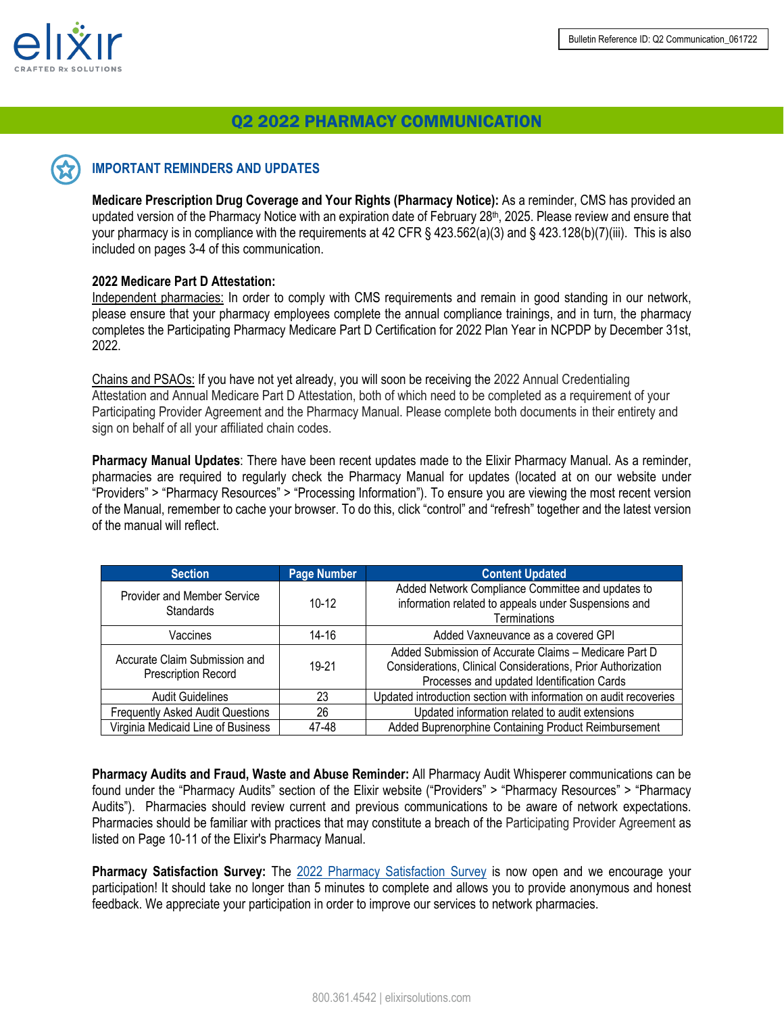

# Q2 2022 PHARMACY COMMUNICATION

# **IMPORTANT REMINDERS AND UPDATES**

**Medicare Prescription Drug Coverage and Your Rights (Pharmacy Notice):** As a reminder, CMS has provided an updated version of the Pharmacy Notice with an expiration date of February 28<sup>th</sup>, 2025. Please review and ensure that your pharmacy is in compliance with the requirements at 42 CFR § 423.562(a)(3) and § 423.128(b)(7)(iii). This is also included on pages 3-4 of this communication.

#### **2022 Medicare Part D Attestation:**

Independent pharmacies: In order to comply with CMS requirements and remain in good standing in our network, please ensure that your pharmacy employees complete the annual compliance trainings, and in turn, the pharmacy completes the Participating Pharmacy Medicare Part D Certification for 2022 Plan Year in NCPDP by December 31st, 2022.

Chains and PSAOs: If you have not yet already, you will soon be receiving the 2022 Annual Credentialing Attestation and Annual Medicare Part D Attestation, both of which need to be completed as a requirement of your Participating Provider Agreement and the Pharmacy Manual. Please complete both documents in their entirety and sign on behalf of all your affiliated chain codes.

**Pharmacy Manual Updates**: There have been recent updates made to the Elixir Pharmacy Manual. As a reminder, pharmacies are required to regularly check the Pharmacy Manual for updates (located at on our website under "Providers" > "Pharmacy Resources" > "Processing Information"). To ensure you are viewing the most recent version of the Manual, remember to cache your browser. To do this, click "control" and "refresh" together and the latest version of the manual will reflect.

| <b>Section</b>                                              | <b>Page Number</b> | <b>Content Updated</b>                                                                                                                                              |
|-------------------------------------------------------------|--------------------|---------------------------------------------------------------------------------------------------------------------------------------------------------------------|
| Provider and Member Service<br><b>Standards</b>             | $10 - 12$          | Added Network Compliance Committee and updates to<br>information related to appeals under Suspensions and<br>Terminations                                           |
| Vaccines                                                    | 14-16              | Added Vaxneuvance as a covered GPI                                                                                                                                  |
| Accurate Claim Submission and<br><b>Prescription Record</b> | $19 - 21$          | Added Submission of Accurate Claims - Medicare Part D<br>Considerations, Clinical Considerations, Prior Authorization<br>Processes and updated Identification Cards |
| <b>Audit Guidelines</b>                                     | 23                 | Updated introduction section with information on audit recoveries                                                                                                   |
| <b>Frequently Asked Audit Questions</b>                     | 26                 | Updated information related to audit extensions                                                                                                                     |
| Virginia Medicaid Line of Business                          | 47-48              | Added Buprenorphine Containing Product Reimbursement                                                                                                                |

**Pharmacy Audits and Fraud, Waste and Abuse Reminder:** All Pharmacy Audit Whisperer communications can be found under the "Pharmacy Audits" section of the Elixir website ("Providers" > "Pharmacy Resources" > "Pharmacy Audits"). Pharmacies should review current and previous communications to be aware of network expectations. Pharmacies should be familiar with practices that may constitute a breach of the Participating Provider Agreement as listed on Page 10-11 of the Elixir's Pharmacy Manual.

**Pharmacy Satisfaction Survey:** The 2022 [Pharmacy Satisfaction Survey](https://app.surveymethods.com/EndUser.aspx?E2C6AAB5E0A1B5B2E0) is now open and we encourage your participation! It should take no longer than 5 minutes to complete and allows you to provide anonymous and honest feedback. We appreciate your participation in order to improve our services to network pharmacies.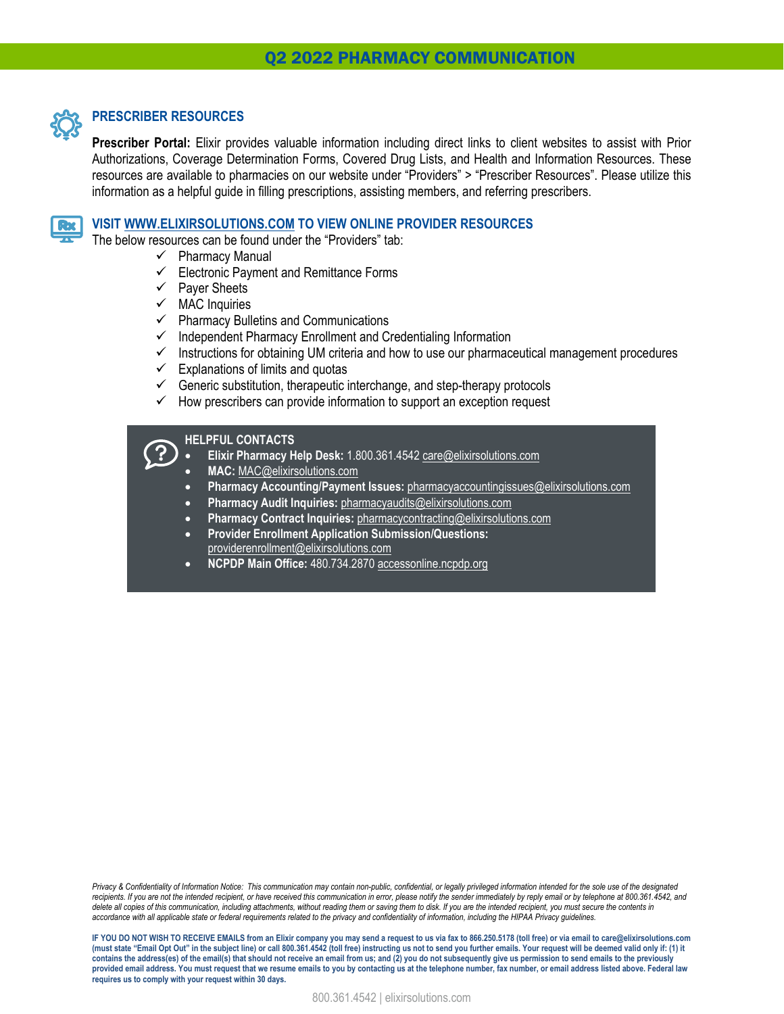

Rx

## **PRESCRIBER RESOURCES**

**Prescriber Portal:** Elixir provides valuable information including direct links to client websites to assist with Prior Authorizations, Coverage Determination Forms, Covered Drug Lists, and Health and Information Resources. These resources are available to pharmacies on our website under "Providers" > "Prescriber Resources". Please utilize this information as a helpful guide in filling prescriptions, assisting members, and referring prescribers.

#### **VISIT [WWW.ELIXIRSOLUTIONS.COM](https://www.envisionrx.com/) TO VIEW ONLINE PROVIDER RESOURCES**

The below resources can be found under the "Providers" tab:

- $\checkmark$  Pharmacy Manual
- $\checkmark$  Electronic Payment and Remittance Forms
- $\checkmark$  Payer Sheets
- $\times$  MAC Inquiries
- $\checkmark$  Pharmacy Bulletins and Communications
- $\checkmark$  Independent Pharmacy Enrollment and Credentialing Information
- $\checkmark$  Instructions for obtaining UM criteria and how to use our pharmaceutical management procedures
- $\checkmark$  Explanations of limits and quotas
- $\checkmark$  Generic substitution, therapeutic interchange, and step-therapy protocols
- $\checkmark$  How prescribers can provide information to support an exception request

#### **HELPFUL CONTACTS**

- **Elixir Pharmacy Help Desk:** 1.800.361.4542 [care@elixirsolutions.com](mailto:care@elixirsolutions.com)
- **MAC:** [MAC@elixirsolutions.com](mailto:MAC@envisionrx.com)
- **Pharmacy Accounting/Payment Issues:** [pharmacyaccountingissues@elixirsolutions.com](mailto:pharmacyaccountingissues@envisonrx.com)
- **Pharmacy Audit Inquiries:** pharmacyaudits@elixirsolutions.com
- **Pharmacy Contract Inquiries:** [pharmacycontracting@elixirsolutions.com](mailto:pharmacycontracting@envisionrx.com)
- **Provider Enrollment Application Submission/Questions:** providerenrollment@elixirsolutions.com
- **NCPDP Main Office:** 480.734.2870 accessonline.ncpdp.org

*Privacy & Confidentiality of Information Notice: This communication may contain non-public, confidential, or legally privileged information intended for the sole use of the designated recipients. If you are not the intended recipient, or have received this communication in error, please notify the sender immediately by reply email or by telephone at 800.361.4542, and*  delete all copies of this communication, including attachments, without reading them or saving them to disk. If you are the intended recipient, you must secure the contents in *accordance with all applicable state or federal requirements related to the privacy and confidentiality of information, including the HIPAA Privacy guidelines.*

**IF YOU DO NOT WISH TO RECEIVE EMAILS from an Elixir company you may send a request to us via fax to 866.250.5178 (toll free) or via email to care@elixirsolutions.com (must state "Email Opt Out" in the subject line) or call 800.361.4542 (toll free) instructing us not to send you further emails. Your request will be deemed valid only if: (1) it contains the address(es) of the email(s) that should not receive an email from us; and (2) you do not subsequently give us permission to send emails to the previously provided email address. You must request that we resume emails to you by contacting us at the telephone number, fax number, or email address listed above. Federal law requires us to comply with your request within 30 days.**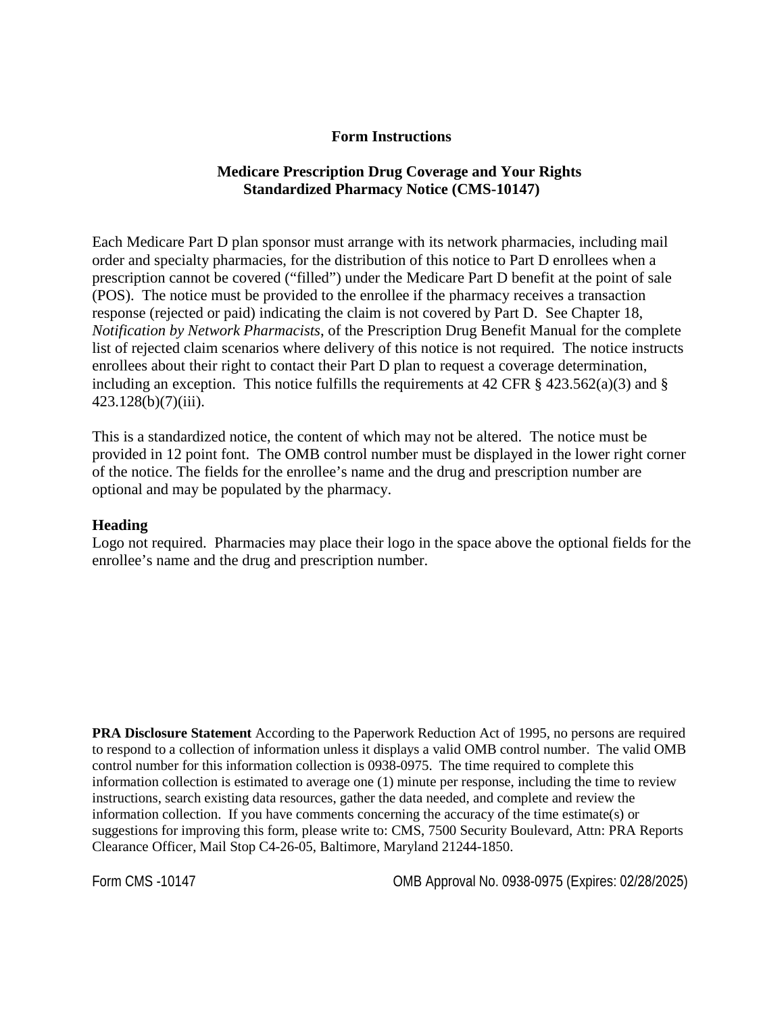#### **Form Instructions**

### **Medicare Prescription Drug Coverage and Your Rights Standardized Pharmacy Notice (CMS-10147)**

Each Medicare Part D plan sponsor must arrange with its network pharmacies, including mail order and specialty pharmacies, for the distribution of this notice to Part D enrollees when a prescription cannot be covered ("filled") under the Medicare Part D benefit at the point of sale (POS). The notice must be provided to the enrollee if the pharmacy receives a transaction response (rejected or paid) indicating the claim is not covered by Part D. See Chapter 18, *Notification by Network Pharmacists*, of the Prescription Drug Benefit Manual for the complete list of rejected claim scenarios where delivery of this notice is not required. The notice instructs enrollees about their right to contact their Part D plan to request a coverage determination, including an exception. This notice fulfills the requirements at 42 CFR  $\S$  423.562(a)(3) and  $\S$ 423.128(b)(7)(iii).

This is a standardized notice, the content of which may not be altered. The notice must be provided in 12 point font. The OMB control number must be displayed in the lower right corner of the notice. The fields for the enrollee's name and the drug and prescription number are optional and may be populated by the pharmacy.

#### **Heading**

Logo not required. Pharmacies may place their logo in the space above the optional fields for the enrollee's name and the drug and prescription number.

**PRA Disclosure Statement** According to the Paperwork Reduction Act of 1995, no persons are required to respond to a collection of information unless it displays a valid OMB control number. The valid OMB control number for this information collection is 0938-0975. The time required to complete this information collection is estimated to average one (1) minute per response, including the time to review instructions, search existing data resources, gather the data needed, and complete and review the information collection. If you have comments concerning the accuracy of the time estimate(s) or suggestions for improving this form, please write to: CMS, 7500 Security Boulevard, Attn: PRA Reports Clearance Officer, Mail Stop C4-26-05, Baltimore, Maryland 21244-1850.

Form CMS -10147 OMB Approval No. 0938-0975 (Expires: 02/28/2025)